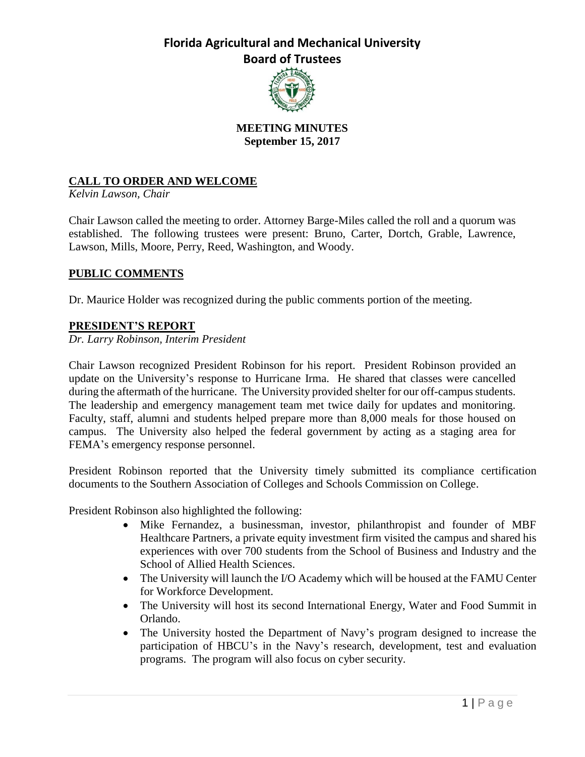

# **MEETING MINUTES September 15, 2017**

# **CALL TO ORDER AND WELCOME**

*Kelvin Lawson, Chair*

Chair Lawson called the meeting to order. Attorney Barge-Miles called the roll and a quorum was established. The following trustees were present: Bruno, Carter, Dortch, Grable, Lawrence, Lawson, Mills, Moore, Perry, Reed, Washington, and Woody.

### **PUBLIC COMMENTS**

Dr. Maurice Holder was recognized during the public comments portion of the meeting.

### **PRESIDENT'S REPORT**

*Dr. Larry Robinson, Interim President*

Chair Lawson recognized President Robinson for his report. President Robinson provided an update on the University's response to Hurricane Irma. He shared that classes were cancelled during the aftermath of the hurricane. The University provided shelter for our off-campus students. The leadership and emergency management team met twice daily for updates and monitoring. Faculty, staff, alumni and students helped prepare more than 8,000 meals for those housed on campus. The University also helped the federal government by acting as a staging area for FEMA's emergency response personnel.

President Robinson reported that the University timely submitted its compliance certification documents to the Southern Association of Colleges and Schools Commission on College.

President Robinson also highlighted the following:

- Mike Fernandez, a businessman, investor, philanthropist and founder of MBF Healthcare Partners, a private equity investment firm visited the campus and shared his experiences with over 700 students from the School of Business and Industry and the School of Allied Health Sciences.
- The University will launch the I/O Academy which will be housed at the FAMU Center for Workforce Development.
- The University will host its second International Energy, Water and Food Summit in Orlando.
- The University hosted the Department of Navy's program designed to increase the participation of HBCU's in the Navy's research, development, test and evaluation programs. The program will also focus on cyber security.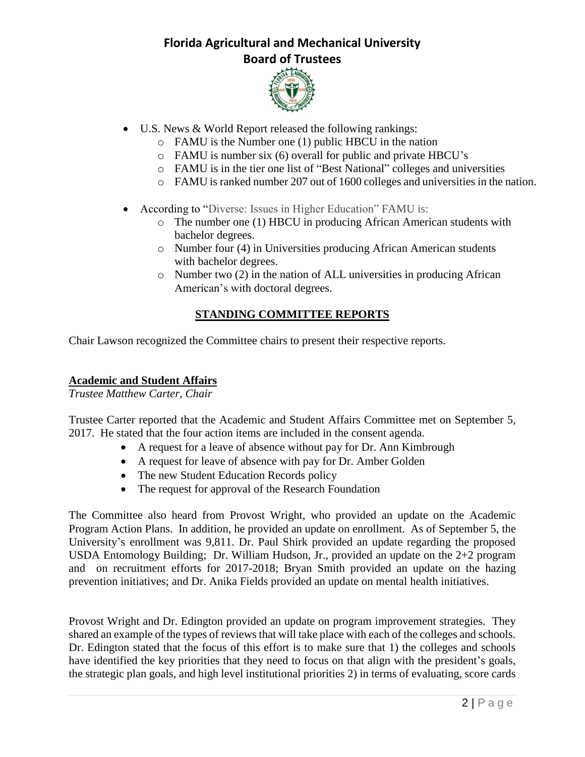

- U.S. News & World Report released the following rankings:
	- o FAMU is the Number one (1) public HBCU in the nation
	- o FAMU is number six (6) overall for public and private HBCU's
	- o FAMU is in the tier one list of "Best National" colleges and universities
	- o FAMU is ranked number 207 out of 1600 colleges and universities in the nation.
- According to "Diverse: Issues in Higher Education" FAMU is:
	- o The number one (1) HBCU in producing African American students with bachelor degrees.
	- o Number four (4) in Universities producing African American students with bachelor degrees.
	- o Number two (2) in the nation of ALL universities in producing African American's with doctoral degrees.

## **STANDING COMMITTEE REPORTS**

Chair Lawson recognized the Committee chairs to present their respective reports.

### **Academic and Student Affairs**

*Trustee Matthew Carter, Chair*

Trustee Carter reported that the Academic and Student Affairs Committee met on September 5, 2017. He stated that the four action items are included in the consent agenda.

- A request for a leave of absence without pay for Dr. Ann Kimbrough
- A request for leave of absence with pay for Dr. Amber Golden
- The new Student Education Records policy
- The request for approval of the Research Foundation

The Committee also heard from Provost Wright, who provided an update on the Academic Program Action Plans. In addition, he provided an update on enrollment. As of September 5, the University's enrollment was 9,811. Dr. Paul Shirk provided an update regarding the proposed USDA Entomology Building; Dr. William Hudson, Jr., provided an update on the 2+2 program and on recruitment efforts for 2017-2018; Bryan Smith provided an update on the hazing prevention initiatives; and Dr. Anika Fields provided an update on mental health initiatives.

Provost Wright and Dr. Edington provided an update on program improvement strategies. They shared an example of the types of reviews that will take place with each of the colleges and schools. Dr. Edington stated that the focus of this effort is to make sure that 1) the colleges and schools have identified the key priorities that they need to focus on that align with the president's goals, the strategic plan goals, and high level institutional priorities 2) in terms of evaluating, score cards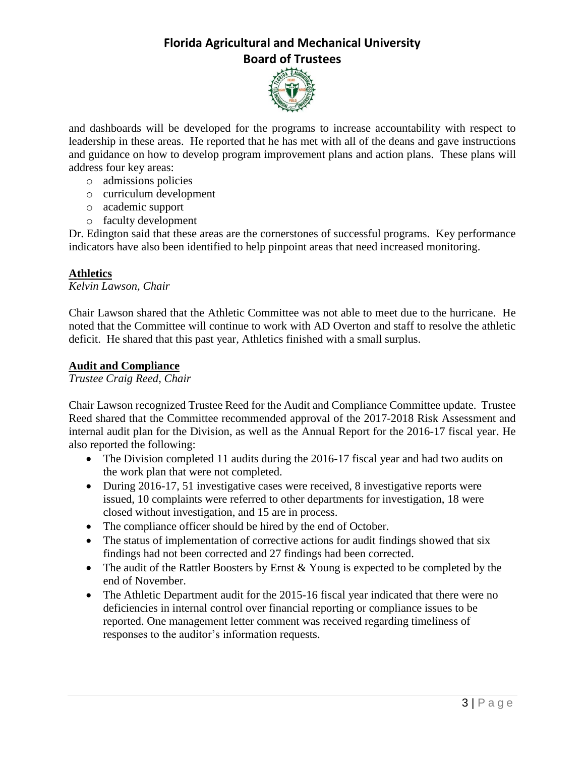

and dashboards will be developed for the programs to increase accountability with respect to leadership in these areas. He reported that he has met with all of the deans and gave instructions and guidance on how to develop program improvement plans and action plans. These plans will address four key areas:

- o admissions policies
- o curriculum development
- o academic support
- o faculty development

Dr. Edington said that these areas are the cornerstones of successful programs. Key performance indicators have also been identified to help pinpoint areas that need increased monitoring.

#### **Athletics**

*Kelvin Lawson, Chair*

Chair Lawson shared that the Athletic Committee was not able to meet due to the hurricane. He noted that the Committee will continue to work with AD Overton and staff to resolve the athletic deficit. He shared that this past year, Athletics finished with a small surplus.

#### **Audit and Compliance**

*Trustee Craig Reed, Chair*

Chair Lawson recognized Trustee Reed for the Audit and Compliance Committee update. Trustee Reed shared that the Committee recommended approval of the 2017-2018 Risk Assessment and internal audit plan for the Division, as well as the Annual Report for the 2016-17 fiscal year. He also reported the following:

- The Division completed 11 audits during the 2016-17 fiscal year and had two audits on the work plan that were not completed.
- During 2016-17, 51 investigative cases were received, 8 investigative reports were issued, 10 complaints were referred to other departments for investigation, 18 were closed without investigation, and 15 are in process.
- The compliance officer should be hired by the end of October.
- The status of implementation of corrective actions for audit findings showed that six findings had not been corrected and 27 findings had been corrected.
- The audit of the Rattler Boosters by Ernst & Young is expected to be completed by the end of November.
- The Athletic Department audit for the 2015-16 fiscal year indicated that there were no deficiencies in internal control over financial reporting or compliance issues to be reported. One management letter comment was received regarding timeliness of responses to the auditor's information requests.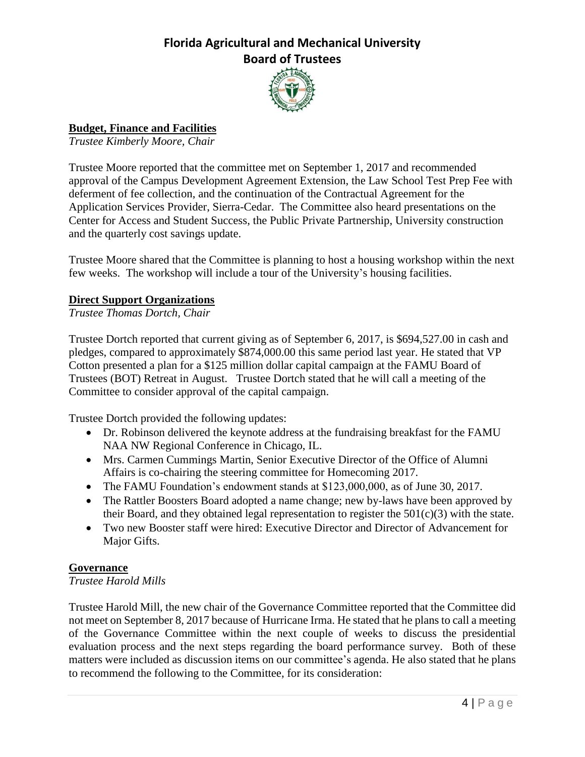

# **Budget, Finance and Facilities**

*Trustee Kimberly Moore, Chair*

Trustee Moore reported that the committee met on September 1, 2017 and recommended approval of the Campus Development Agreement Extension, the Law School Test Prep Fee with deferment of fee collection, and the continuation of the Contractual Agreement for the Application Services Provider, Sierra-Cedar. The Committee also heard presentations on the Center for Access and Student Success, the Public Private Partnership, University construction and the quarterly cost savings update.

Trustee Moore shared that the Committee is planning to host a housing workshop within the next few weeks. The workshop will include a tour of the University's housing facilities.

### **Direct Support Organizations**

*Trustee Thomas Dortch, Chair*

Trustee Dortch reported that current giving as of September 6, 2017, is \$694,527.00 in cash and pledges, compared to approximately \$874,000.00 this same period last year. He stated that VP Cotton presented a plan for a \$125 million dollar capital campaign at the FAMU Board of Trustees (BOT) Retreat in August. Trustee Dortch stated that he will call a meeting of the Committee to consider approval of the capital campaign.

Trustee Dortch provided the following updates:

- Dr. Robinson delivered the keynote address at the fundraising breakfast for the FAMU NAA NW Regional Conference in Chicago, IL.
- Mrs. Carmen Cummings Martin, Senior Executive Director of the Office of Alumni Affairs is co-chairing the steering committee for Homecoming 2017.
- The FAMU Foundation's endowment stands at \$123,000,000, as of June 30, 2017.
- The Rattler Boosters Board adopted a name change; new by-laws have been approved by their Board, and they obtained legal representation to register the 501(c)(3) with the state.
- Two new Booster staff were hired: Executive Director and Director of Advancement for Major Gifts.

### **Governance**

*Trustee Harold Mills*

Trustee Harold Mill, the new chair of the Governance Committee reported that the Committee did not meet on September 8, 2017 because of Hurricane Irma. He stated that he plans to call a meeting of the Governance Committee within the next couple of weeks to discuss the presidential evaluation process and the next steps regarding the board performance survey. Both of these matters were included as discussion items on our committee's agenda. He also stated that he plans to recommend the following to the Committee, for its consideration: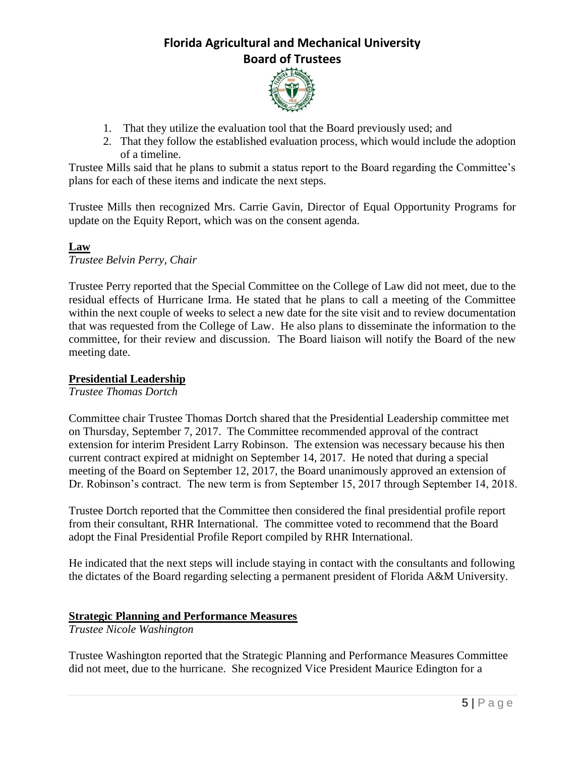

- 1. That they utilize the evaluation tool that the Board previously used; and
- 2. That they follow the established evaluation process, which would include the adoption of a timeline.

Trustee Mills said that he plans to submit a status report to the Board regarding the Committee's plans for each of these items and indicate the next steps.

Trustee Mills then recognized Mrs. Carrie Gavin, Director of Equal Opportunity Programs for update on the Equity Report, which was on the consent agenda.

#### **Law** *Trustee Belvin Perry, Chair*

Trustee Perry reported that the Special Committee on the College of Law did not meet, due to the residual effects of Hurricane Irma. He stated that he plans to call a meeting of the Committee within the next couple of weeks to select a new date for the site visit and to review documentation that was requested from the College of Law. He also plans to disseminate the information to the committee, for their review and discussion. The Board liaison will notify the Board of the new meeting date.

#### **Presidential Leadership**

*Trustee Thomas Dortch*

Committee chair Trustee Thomas Dortch shared that the Presidential Leadership committee met on Thursday, September 7, 2017. The Committee recommended approval of the contract extension for interim President Larry Robinson. The extension was necessary because his then current contract expired at midnight on September 14, 2017. He noted that during a special meeting of the Board on September 12, 2017, the Board unanimously approved an extension of Dr. Robinson's contract. The new term is from September 15, 2017 through September 14, 2018.

Trustee Dortch reported that the Committee then considered the final presidential profile report from their consultant, RHR International. The committee voted to recommend that the Board adopt the Final Presidential Profile Report compiled by RHR International.

He indicated that the next steps will include staying in contact with the consultants and following the dictates of the Board regarding selecting a permanent president of Florida A&M University.

### **Strategic Planning and Performance Measures**

*Trustee Nicole Washington*

Trustee Washington reported that the Strategic Planning and Performance Measures Committee did not meet, due to the hurricane. She recognized Vice President Maurice Edington for a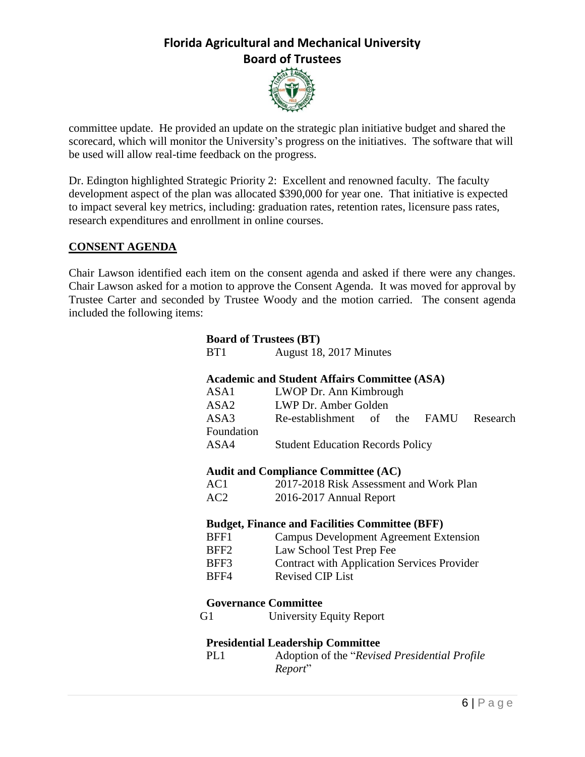

committee update. He provided an update on the strategic plan initiative budget and shared the scorecard, which will monitor the University's progress on the initiatives. The software that will be used will allow real-time feedback on the progress.

Dr. Edington highlighted Strategic Priority 2: Excellent and renowned faculty. The faculty development aspect of the plan was allocated \$390,000 for year one. That initiative is expected to impact several key metrics, including: graduation rates, retention rates, licensure pass rates, research expenditures and enrollment in online courses.

### **CONSENT AGENDA**

Chair Lawson identified each item on the consent agenda and asked if there were any changes. Chair Lawson asked for a motion to approve the Consent Agenda. It was moved for approval by Trustee Carter and seconded by Trustee Woody and the motion carried. The consent agenda included the following items:

| <b>Board of Trustees (BT)</b>                         |                                                    |
|-------------------------------------------------------|----------------------------------------------------|
| BT <sub>1</sub>                                       | August 18, 2017 Minutes                            |
|                                                       |                                                    |
| <b>Academic and Student Affairs Committee (ASA)</b>   |                                                    |
| ASA1                                                  | LWOP Dr. Ann Kimbrough                             |
| ASA2                                                  | LWP Dr. Amber Golden                               |
| ASA3                                                  | Re-establishment of the<br>FAMU<br>Research        |
| Foundation                                            |                                                    |
| ASA4                                                  | <b>Student Education Records Policy</b>            |
|                                                       |                                                    |
|                                                       | <b>Audit and Compliance Committee (AC)</b>         |
| AC1                                                   | 2017-2018 Risk Assessment and Work Plan            |
| AC2                                                   | 2016-2017 Annual Report                            |
|                                                       |                                                    |
| <b>Budget, Finance and Facilities Committee (BFF)</b> |                                                    |
| BFF1                                                  | <b>Campus Development Agreement Extension</b>      |
| BFF <sub>2</sub>                                      | Law School Test Prep Fee                           |
| BFF3                                                  | <b>Contract with Application Services Provider</b> |
| BFF4                                                  | <b>Revised CIP List</b>                            |
|                                                       |                                                    |
| <b>Governance Committee</b>                           |                                                    |
| G1                                                    | <b>University Equity Report</b>                    |
|                                                       |                                                    |
| <b>Presidential Leadership Committee</b>              |                                                    |
| PL <sub>1</sub>                                       | Adoption of the "Revised Presidential Profile"     |
|                                                       | Report"                                            |